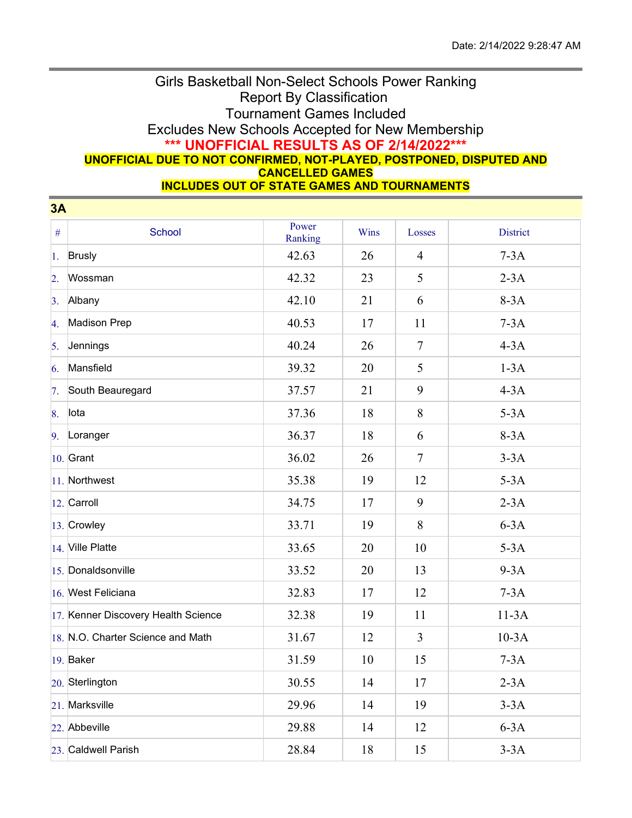## Girls Basketball Non-Select Schools Power Ranking Report By Classification Tournament Games Included Excludes New Schools Accepted for New Membership **\*\*\* UNOFFICIAL RESULTS AS OF 2/14/2022\*\*\* UNOFFICIAL DUE TO NOT CONFIRMED, NOT-PLAYED, POSTPONED, DISPUTED AND CANCELLED GAMES**

**INCLUDES OUT OF STATE GAMES AND TOURNAMENTS**

| 3A               |                                     |                  |      |                |                 |
|------------------|-------------------------------------|------------------|------|----------------|-----------------|
| $\#$             | School                              | Power<br>Ranking | Wins | Losses         | <b>District</b> |
| 1.               | <b>Brusly</b>                       | 42.63            | 26   | $\overline{4}$ | $7-3A$          |
| $\overline{2}$ . | Wossman                             | 42.32            | 23   | 5              | $2-3A$          |
| 3.               | Albany                              | 42.10            | 21   | 6              | $8-3A$          |
| 4.               | Madison Prep                        | 40.53            | 17   | 11             | $7-3A$          |
| 5.               | Jennings                            | 40.24            | 26   | $\overline{7}$ | $4-3A$          |
| 6.               | Mansfield                           | 39.32            | 20   | 5              | $1-3A$          |
| 7.               | South Beauregard                    | 37.57            | 21   | 9              | $4-3A$          |
| 8.               | lota                                | 37.36            | 18   | $8\,$          | $5-3A$          |
| 9.               | Loranger                            | 36.37            | 18   | 6              | $8-3A$          |
|                  | $10.$ Grant                         | 36.02            | 26   | $\overline{7}$ | $3-3A$          |
|                  | 11. Northwest                       | 35.38            | 19   | 12             | $5-3A$          |
|                  | 12. Carroll                         | 34.75            | 17   | 9              | $2-3A$          |
|                  | 13. Crowley                         | 33.71            | 19   | 8              | $6-3A$          |
|                  | 14. Ville Platte                    | 33.65            | 20   | 10             | $5-3A$          |
|                  | 15. Donaldsonville                  | 33.52            | 20   | 13             | $9-3A$          |
|                  | 16. West Feliciana                  | 32.83            | 17   | 12             | $7-3A$          |
|                  | 17. Kenner Discovery Health Science | 32.38            | 19   | 11             | $11-3A$         |
|                  | 18. N.O. Charter Science and Math   | 31.67            | 12   | $\mathfrak{Z}$ | $10-3A$         |
|                  | 19. Baker                           | 31.59            | 10   | 15             | $7-3A$          |
|                  | 20. Sterlington                     | 30.55            | 14   | 17             | $2-3A$          |
|                  | 21. Marksville                      | 29.96            | 14   | 19             | $3-3A$          |
|                  | 22. Abbeville                       | 29.88            | 14   | 12             | $6-3A$          |
|                  | 23. Caldwell Parish                 | 28.84            | 18   | 15             | $3-3A$          |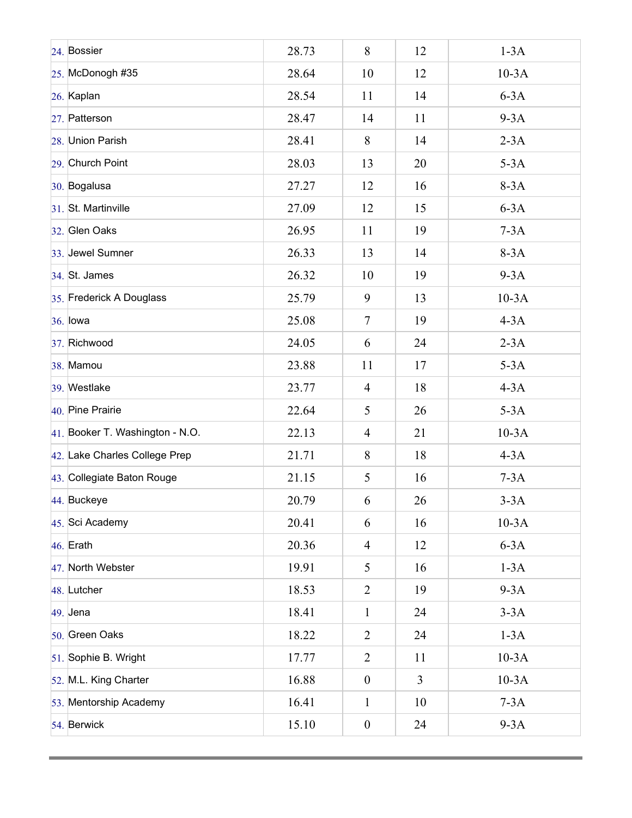| 24. Bossier                     | 28.73 | 8                | 12             | $1-3A$  |
|---------------------------------|-------|------------------|----------------|---------|
| 25. McDonogh #35                | 28.64 | 10               | 12             | $10-3A$ |
| 26. Kaplan                      | 28.54 | 11               | 14             | $6-3A$  |
| 27. Patterson                   | 28.47 | 14               | 11             | $9-3A$  |
| 28. Union Parish                | 28.41 | 8                | 14             | $2-3A$  |
| 29. Church Point                | 28.03 | 13               | 20             | $5-3A$  |
| 30. Bogalusa                    | 27.27 | 12               | 16             | $8-3A$  |
| 31. St. Martinville             | 27.09 | 12               | 15             | $6-3A$  |
| 32. Glen Oaks                   | 26.95 | 11               | 19             | $7-3A$  |
| 33. Jewel Sumner                | 26.33 | 13               | 14             | $8-3A$  |
| 34. St. James                   | 26.32 | 10               | 19             | $9-3A$  |
| 35. Frederick A Douglass        | 25.79 | 9                | 13             | $10-3A$ |
| 36. lowa                        | 25.08 | $\tau$           | 19             | $4-3A$  |
| 37. Richwood                    | 24.05 | 6                | 24             | $2-3A$  |
| 38. Mamou                       | 23.88 | 11               | 17             | $5-3A$  |
| 39. Westlake                    | 23.77 | $\overline{4}$   | 18             | $4-3A$  |
| 40. Pine Prairie                | 22.64 | 5                | 26             | $5-3A$  |
| 41. Booker T. Washington - N.O. | 22.13 | $\overline{4}$   | 21             | $10-3A$ |
| 42. Lake Charles College Prep   | 21.71 | 8                | 18             | $4-3A$  |
| 43. Collegiate Baton Rouge      | 21.15 | 5                | 16             | $7-3A$  |
| 44. Buckeye                     | 20.79 | 6                | 26             | $3-3A$  |
| 45. Sci Academy                 | 20.41 | 6                | 16             | $10-3A$ |
| 46. Erath                       | 20.36 | $\overline{4}$   | 12             | $6-3A$  |
| 47. North Webster               | 19.91 | 5                | 16             | $1-3A$  |
| 48. Lutcher                     | 18.53 | $\overline{2}$   | 19             | $9-3A$  |
| 49. Jena                        | 18.41 | $\mathbf{1}$     | 24             | $3-3A$  |
| 50. Green Oaks                  | 18.22 | $\overline{2}$   | 24             | $1-3A$  |
| 51. Sophie B. Wright            | 17.77 | $\overline{2}$   | 11             | $10-3A$ |
| 52. M.L. King Charter           | 16.88 | $\boldsymbol{0}$ | $\overline{3}$ | $10-3A$ |
| 53. Mentorship Academy          | 16.41 | $\mathbf{1}$     | 10             | $7-3A$  |
| 54. Berwick                     | 15.10 | $\boldsymbol{0}$ | 24             | $9-3A$  |